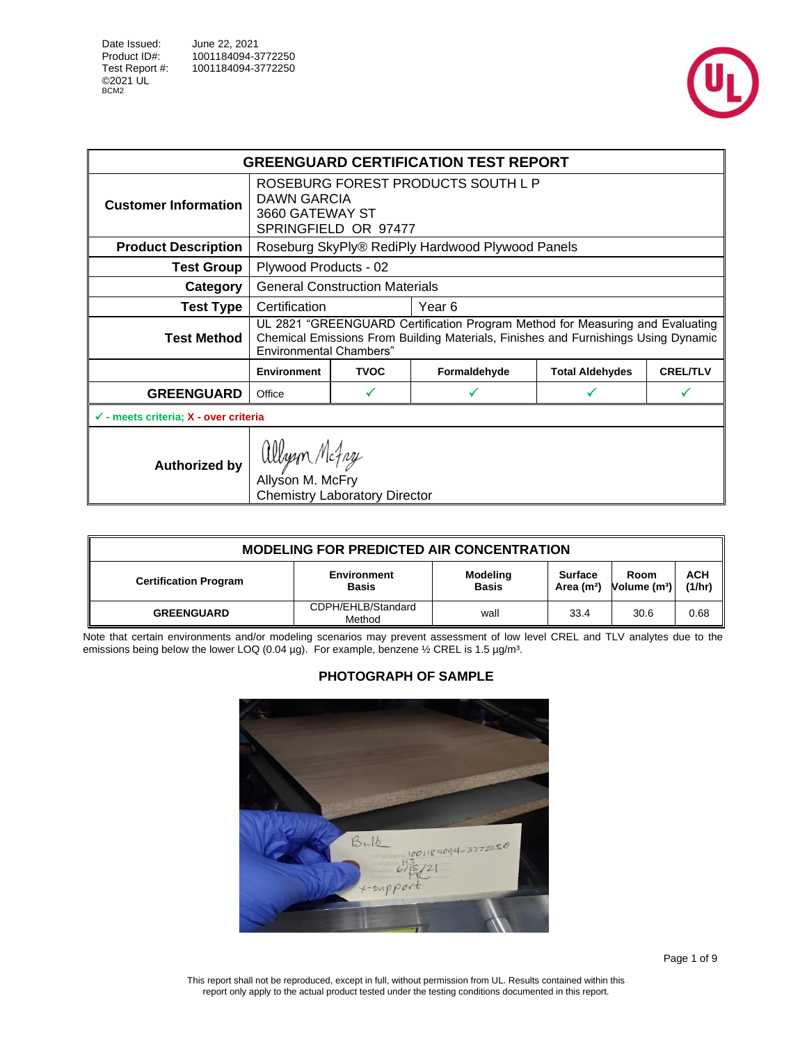



|                                                  |                                          |                                      | <b>GREENGUARD CERTIFICATION TEST REPORT</b>                                                                                                                         |                        |                 |  |
|--------------------------------------------------|------------------------------------------|--------------------------------------|---------------------------------------------------------------------------------------------------------------------------------------------------------------------|------------------------|-----------------|--|
| <b>Customer Information</b>                      | DAWN GARCIA<br>3660 GATEWAY ST           | SPRINGFIELD OR 97477                 | ROSEBURG FOREST PRODUCTS SOUTH L P                                                                                                                                  |                        |                 |  |
| <b>Product Description</b>                       |                                          |                                      | Roseburg SkyPly® RediPly Hardwood Plywood Panels                                                                                                                    |                        |                 |  |
| <b>Test Group</b>                                |                                          | Plywood Products - 02                |                                                                                                                                                                     |                        |                 |  |
| Category                                         | <b>General Construction Materials</b>    |                                      |                                                                                                                                                                     |                        |                 |  |
| <b>Test Type</b>                                 | Certification<br>Year 6                  |                                      |                                                                                                                                                                     |                        |                 |  |
| <b>Test Method</b>                               | <b>Environmental Chambers"</b>           |                                      | UL 2821 "GREENGUARD Certification Program Method for Measuring and Evaluating<br>Chemical Emissions From Building Materials, Finishes and Furnishings Using Dynamic |                        |                 |  |
|                                                  | <b>Environment</b>                       | <b>TVOC</b>                          | Formaldehyde                                                                                                                                                        | <b>Total Aldehydes</b> | <b>CREL/TLV</b> |  |
| <b>GREENGUARD</b>                                | Office                                   | v                                    |                                                                                                                                                                     |                        |                 |  |
| $\checkmark$ - meets criteria; X - over criteria |                                          |                                      |                                                                                                                                                                     |                        |                 |  |
| <b>Authorized by</b>                             | allyon Mc <i>fay</i><br>Allyson M. McFry | <b>Chemistry Laboratory Director</b> |                                                                                                                                                                     |                        |                 |  |

| <b>MODELING FOR PREDICTED AIR CONCENTRATION</b> |                                    |                          |                                   |                                  |                      |  |  |  |  |
|-------------------------------------------------|------------------------------------|--------------------------|-----------------------------------|----------------------------------|----------------------|--|--|--|--|
| <b>Certification Program</b>                    | <b>Environment</b><br><b>Basis</b> | Modeling<br><b>Basis</b> | Surface<br>Area (m <sup>2</sup> ) | Room<br>Volume (m <sup>3</sup> ) | <b>ACH</b><br>(1/hr) |  |  |  |  |
| <b>GREENGUARD</b>                               | CDPH/EHLB/Standard<br>Method       | wall                     | 33.4                              | 30.6                             | 0.68                 |  |  |  |  |

Note that certain environments and/or modeling scenarios may prevent assessment of low level CREL and TLV analytes due to the emissions being below the lower LOQ (0.04 µg). For example, benzene  $\frac{1}{2}$  CREL is 1.5 µg/m<sup>3</sup>.

## <span id="page-0-0"></span>**PHOTOGRAPH OF SAMPLE**



This report shall not be reproduced, except in full, without permission from UL. Results contained within this report only apply to the actual product tested under the testing conditions documented in this report.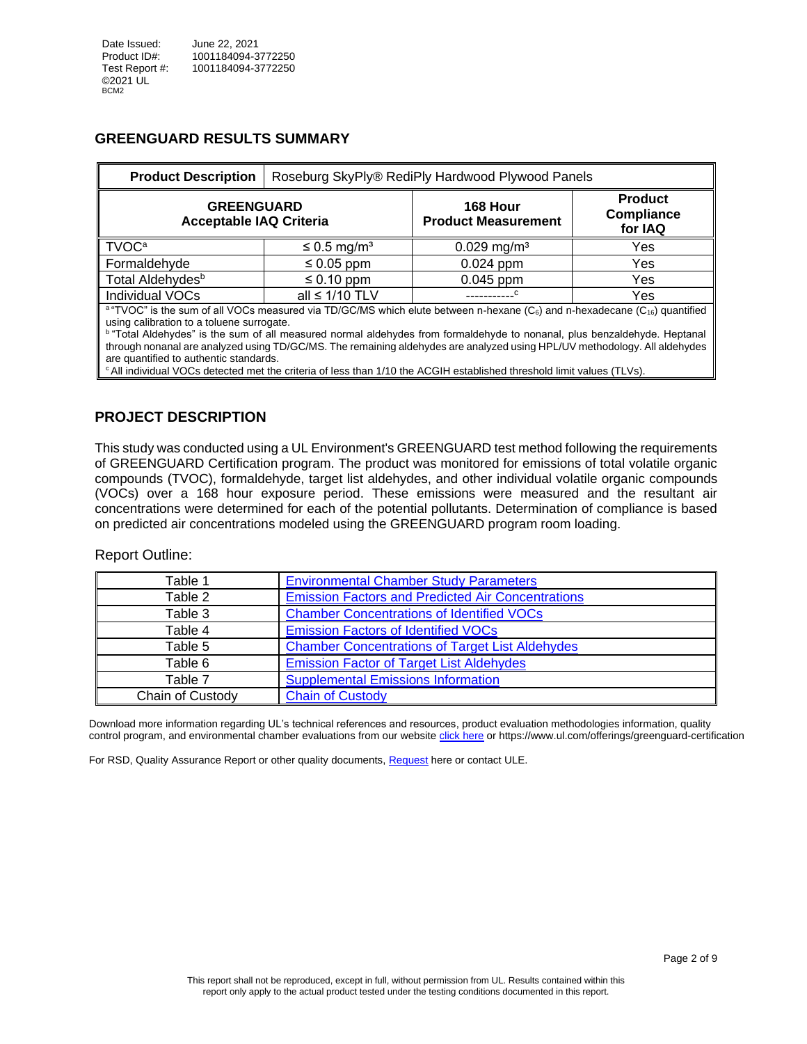#### **GREENGUARD RESULTS SUMMARY**

| <b>Product Description</b>                                                                                                                                                                                                                                                                                                                          |                              | Roseburg SkyPly® RediPly Hardwood Plywood Panels |                                                |  |  |  |  |  |  |
|-----------------------------------------------------------------------------------------------------------------------------------------------------------------------------------------------------------------------------------------------------------------------------------------------------------------------------------------------------|------------------------------|--------------------------------------------------|------------------------------------------------|--|--|--|--|--|--|
| <b>GREENGUARD</b><br><b>Acceptable IAQ Criteria</b>                                                                                                                                                                                                                                                                                                 |                              | 168 Hour<br><b>Product Measurement</b>           | <b>Product</b><br><b>Compliance</b><br>for IAQ |  |  |  |  |  |  |
| <b>TVOC<sup>a</sup></b>                                                                                                                                                                                                                                                                                                                             | $\leq$ 0.5 mg/m <sup>3</sup> | $0.029$ mg/m <sup>3</sup>                        | Yes                                            |  |  |  |  |  |  |
| Formaldehyde                                                                                                                                                                                                                                                                                                                                        | $\leq 0.05$ ppm              | $0.024$ ppm                                      | Yes                                            |  |  |  |  |  |  |
| Total Aldehydes <sup>b</sup>                                                                                                                                                                                                                                                                                                                        | $\leq 0.10$ ppm              | $0.045$ ppm                                      | Yes                                            |  |  |  |  |  |  |
| Individual VOCs                                                                                                                                                                                                                                                                                                                                     | all $\leq 1/10$ TLV          |                                                  | Yes                                            |  |  |  |  |  |  |
| <sup>a</sup> "TVOC" is the sum of all VOCs measured via TD/GC/MS which elute between n-hexane (C <sub>6</sub> ) and n-hexadecane (C <sub>16</sub> ) quantified<br>using calibration to a toluene surrogate.<br><sup>b</sup> "Total Aldehydes" is the sum of all measured normal aldehydes from formaldehyde to nonanal, plus benzaldehyde. Hentanal |                              |                                                  |                                                |  |  |  |  |  |  |

<sup>b</sup>"Total Aldehydes" is the sum of all measured normal aldehydes from formaldehyde to nonanal, plus benzaldehyde. Heptanal through nonanal are analyzed using TD/GC/MS. The remaining aldehydes are analyzed using HPL/UV methodology. All aldehydes are quantified to authentic standards.

<sup>c</sup>All individual VOCs detected met the criteria of less than 1/10 the ACGIH established threshold limit values (TLVs).

#### **PROJECT DESCRIPTION**

This study was conducted using a UL Environment's GREENGUARD test method following the requirements of GREENGUARD Certification program. The product was monitored for emissions of total volatile organic compounds (TVOC), formaldehyde, target list aldehydes, and other individual volatile organic compounds (VOCs) over a 168 hour exposure period. These emissions were measured and the resultant air concentrations were determined for each of the potential pollutants. Determination of compliance is based on predicted air concentrations modeled using the GREENGUARD program room loading.

#### Report Outline:

| Table 1          | <b>Environmental Chamber Study Parameters</b>            |
|------------------|----------------------------------------------------------|
| Table 2          | <b>Emission Factors and Predicted Air Concentrations</b> |
| Table 3          | <b>Chamber Concentrations of Identified VOCs</b>         |
| Table 4          | <b>Emission Factors of Identified VOCs</b>               |
| Table 5          | <b>Chamber Concentrations of Target List Aldehydes</b>   |
| Table 6          | <b>Emission Factor of Target List Aldehydes</b>          |
| Table 7          | <b>Supplemental Emissions Information</b>                |
| Chain of Custody | <b>Chain of Custody</b>                                  |

Download more information regarding UL's technical references and resources, product evaluation methodologies information, quality control program, and environmental chamber evaluations from our website [click here](https://www.ul.com/offerings/greenguard-certification) or<https://www.ul.com/offerings/greenguard-certification>

<span id="page-1-0"></span>For RSD, Quality Assurance Report or other quality documents, [Request](mailto:LST.ULE.AQS%20Service%20Delivery%20%3cLST.ULE.AQSServiceDelivery@ul.com%3e;%20Schiller,%20Stephanie%20%3cStephanie.Schiller@ul.com%3e?subject=Request%20RSD,%20Quality%20Assurance%20Report%20or%20other%20quality%20documents) here or contact ULE.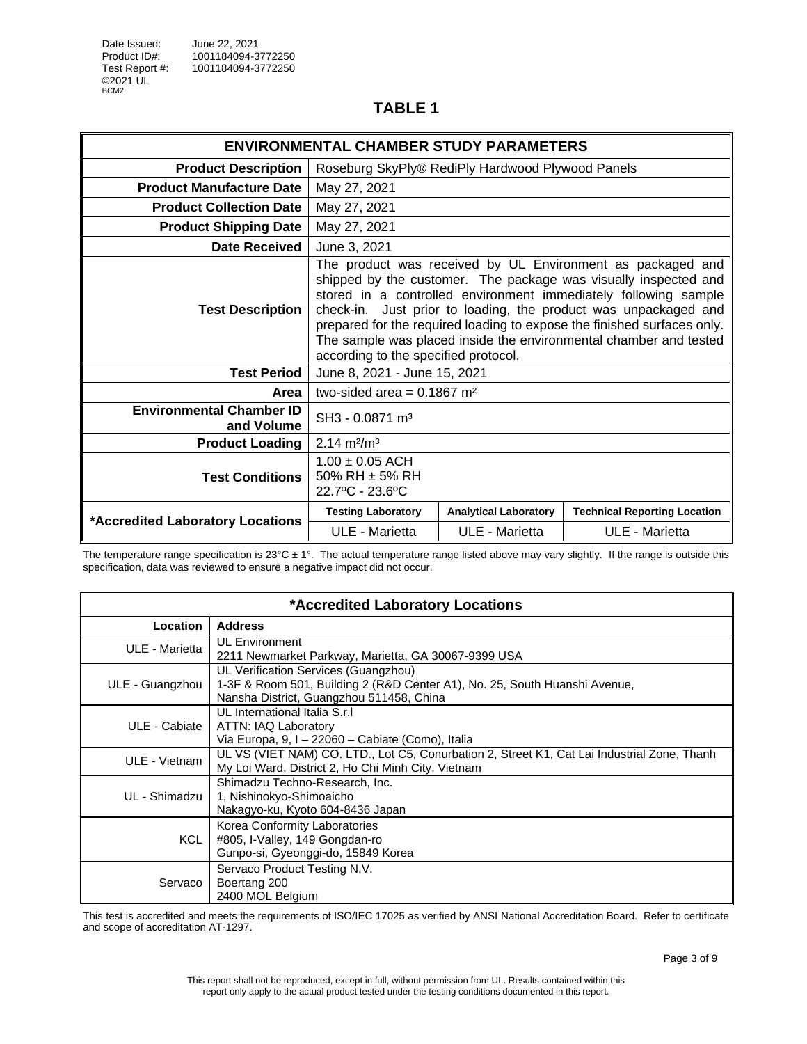|                                               | <b>ENVIRONMENTAL CHAMBER STUDY PARAMETERS</b>                                                                                                                                                                                                                                                                                                                                                                                                               |                              |                                     |  |
|-----------------------------------------------|-------------------------------------------------------------------------------------------------------------------------------------------------------------------------------------------------------------------------------------------------------------------------------------------------------------------------------------------------------------------------------------------------------------------------------------------------------------|------------------------------|-------------------------------------|--|
| <b>Product Description</b>                    | Roseburg SkyPly® RediPly Hardwood Plywood Panels                                                                                                                                                                                                                                                                                                                                                                                                            |                              |                                     |  |
| <b>Product Manufacture Date</b>               | May 27, 2021                                                                                                                                                                                                                                                                                                                                                                                                                                                |                              |                                     |  |
| <b>Product Collection Date</b>                | May 27, 2021                                                                                                                                                                                                                                                                                                                                                                                                                                                |                              |                                     |  |
| <b>Product Shipping Date</b>                  | May 27, 2021                                                                                                                                                                                                                                                                                                                                                                                                                                                |                              |                                     |  |
| <b>Date Received</b>                          | June 3, 2021                                                                                                                                                                                                                                                                                                                                                                                                                                                |                              |                                     |  |
| <b>Test Description</b>                       | The product was received by UL Environment as packaged and<br>shipped by the customer. The package was visually inspected and<br>stored in a controlled environment immediately following sample<br>check-in. Just prior to loading, the product was unpackaged and<br>prepared for the required loading to expose the finished surfaces only.<br>The sample was placed inside the environmental chamber and tested<br>according to the specified protocol. |                              |                                     |  |
| <b>Test Period</b>                            | June 8, 2021 - June 15, 2021                                                                                                                                                                                                                                                                                                                                                                                                                                |                              |                                     |  |
| Area                                          | two-sided area = $0.1867$ m <sup>2</sup>                                                                                                                                                                                                                                                                                                                                                                                                                    |                              |                                     |  |
| <b>Environmental Chamber ID</b><br>and Volume | SH3 - 0.0871 m <sup>3</sup>                                                                                                                                                                                                                                                                                                                                                                                                                                 |                              |                                     |  |
| <b>Product Loading</b>                        | $2.14 \text{ m}^2/\text{m}^3$                                                                                                                                                                                                                                                                                                                                                                                                                               |                              |                                     |  |
| <b>Test Conditions</b>                        | $1.00 \pm 0.05$ ACH<br>50% RH $\pm$ 5% RH<br>22.7°C - 23.6°C                                                                                                                                                                                                                                                                                                                                                                                                |                              |                                     |  |
| *Accredited Laboratory Locations              | <b>Testing Laboratory</b>                                                                                                                                                                                                                                                                                                                                                                                                                                   | <b>Analytical Laboratory</b> | <b>Technical Reporting Location</b> |  |
|                                               | ULE - Marietta                                                                                                                                                                                                                                                                                                                                                                                                                                              | ULE - Marietta               | ULE - Marietta                      |  |

The temperature range specification is  $23^{\circ}$ C ± 1°. The actual temperature range listed above may vary slightly. If the range is outside this specification, data was reviewed to ensure a negative impact did not occur.

| *Accredited Laboratory Locations |                                                                                                                                                                |  |  |  |
|----------------------------------|----------------------------------------------------------------------------------------------------------------------------------------------------------------|--|--|--|
| Location                         | <b>Address</b>                                                                                                                                                 |  |  |  |
| ULE - Marietta                   | <b>UL Environment</b><br>2211 Newmarket Parkway, Marietta, GA 30067-9399 USA                                                                                   |  |  |  |
| ULE - Guangzhou                  | UL Verification Services (Guangzhou)<br>1-3F & Room 501, Building 2 (R&D Center A1), No. 25, South Huanshi Avenue,<br>Nansha District, Guangzhou 511458, China |  |  |  |
| ULE - Cabiate                    | UL International Italia S.r.I.<br>ATTN: IAQ Laboratory<br>Via Europa, 9, I - 22060 - Cabiate (Como), Italia                                                    |  |  |  |
| ULE - Vietnam                    | UL VS (VIET NAM) CO. LTD., Lot C5, Conurbation 2, Street K1, Cat Lai Industrial Zone, Thanh<br>My Loi Ward, District 2, Ho Chi Minh City, Vietnam              |  |  |  |
| UL - Shimadzu I                  | Shimadzu Techno-Research, Inc.<br>1, Nishinokyo-Shimoaicho<br>Nakagyo-ku, Kyoto 604-8436 Japan                                                                 |  |  |  |
| KCL .                            | Korea Conformity Laboratories<br>#805, I-Valley, 149 Gongdan-ro<br>Gunpo-si, Gyeonggi-do, 15849 Korea                                                          |  |  |  |
| Servaco                          | Servaco Product Testing N.V.<br>Boertang 200<br>2400 MOL Belgium                                                                                               |  |  |  |

This test is accredited and meets the requirements of ISO/IEC 17025 as verified by ANSI National Accreditation Board. Refer to certificate and scope of accreditation AT-1297.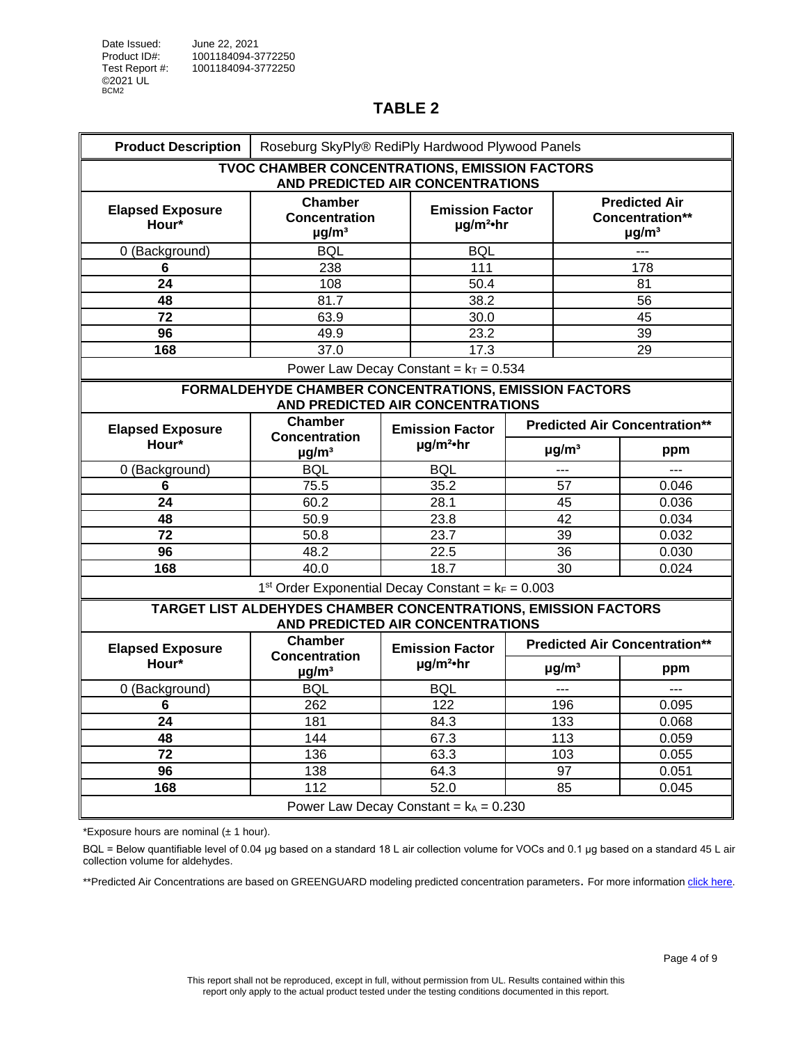| . .<br>. . |  |
|------------|--|
|------------|--|

<span id="page-3-0"></span>

| <b>Product Description</b>                                                                | Roseburg SkyPly® RediPly Hardwood Plywood Panels                                                   |                                          |                                                      |  |                                                                   |                                      |  |
|-------------------------------------------------------------------------------------------|----------------------------------------------------------------------------------------------------|------------------------------------------|------------------------------------------------------|--|-------------------------------------------------------------------|--------------------------------------|--|
|                                                                                           | TVOC CHAMBER CONCENTRATIONS, EMISSION FACTORS<br>AND PREDICTED AIR CONCENTRATIONS                  |                                          |                                                      |  |                                                                   |                                      |  |
| <b>Elapsed Exposure</b><br>Hour*                                                          | <b>Chamber</b><br><b>Concentration</b><br>$\mu$ g/m <sup>3</sup>                                   |                                          | <b>Emission Factor</b><br>$\mu$ g/m <sup>2</sup> ·hr |  | <b>Predicted Air</b><br>Concentration**<br>$\mu$ g/m <sup>3</sup> |                                      |  |
| 0 (Background)                                                                            | <b>BQL</b>                                                                                         |                                          | BQL                                                  |  |                                                                   | ---                                  |  |
| 6                                                                                         | 238                                                                                                |                                          | 111                                                  |  |                                                                   | 178                                  |  |
| 24                                                                                        | 108                                                                                                |                                          | 50.4                                                 |  |                                                                   | 81                                   |  |
| 48                                                                                        | 81.7                                                                                               |                                          | 38.2                                                 |  |                                                                   | 56                                   |  |
| 72                                                                                        | 63.9                                                                                               |                                          | 30.0                                                 |  |                                                                   | 45                                   |  |
| 96                                                                                        | 49.9                                                                                               |                                          | 23.2                                                 |  |                                                                   | 39                                   |  |
| 168                                                                                       | 37.0                                                                                               |                                          | 17.3                                                 |  |                                                                   | 29                                   |  |
|                                                                                           |                                                                                                    |                                          | Power Law Decay Constant = $k_T$ = 0.534             |  |                                                                   |                                      |  |
| FORMALDEHYDE CHAMBER CONCENTRATIONS, EMISSION FACTORS<br>AND PREDICTED AIR CONCENTRATIONS |                                                                                                    |                                          |                                                      |  |                                                                   |                                      |  |
| <b>Elapsed Exposure</b>                                                                   | Chamber                                                                                            |                                          | <b>Emission Factor</b>                               |  |                                                                   | <b>Predicted Air Concentration**</b> |  |
| Hour*                                                                                     | <b>Concentration</b><br>$\mu$ g/m <sup>3</sup>                                                     | $\mu$ g/m <sup>2</sup> ·hr               |                                                      |  | $\mu$ g/m <sup>3</sup>                                            | ppm                                  |  |
| 0 (Background)                                                                            | <b>BQL</b>                                                                                         |                                          | <b>BQL</b>                                           |  | ---                                                               | $\overline{a}$                       |  |
| 6                                                                                         | 75.5                                                                                               |                                          | 35.2                                                 |  | 57                                                                | 0.046                                |  |
| 24                                                                                        | 60.2                                                                                               |                                          | 28.1                                                 |  | 45                                                                | 0.036                                |  |
| 48                                                                                        | 50.9                                                                                               |                                          | 23.8                                                 |  | 42                                                                | 0.034                                |  |
| $\overline{72}$                                                                           | 50.8                                                                                               |                                          | 23.7                                                 |  | 39                                                                | 0.032                                |  |
| 96                                                                                        | 48.2                                                                                               |                                          | 22.5                                                 |  | 36                                                                | 0.030                                |  |
| 168                                                                                       | 40.0                                                                                               |                                          | 18.7                                                 |  | 30                                                                | 0.024                                |  |
|                                                                                           | 1 <sup>st</sup> Order Exponential Decay Constant = $k_F = 0.003$                                   |                                          |                                                      |  |                                                                   |                                      |  |
|                                                                                           | TARGET LIST ALDEHYDES CHAMBER CONCENTRATIONS, EMISSION FACTORS<br>AND PREDICTED AIR CONCENTRATIONS |                                          |                                                      |  |                                                                   |                                      |  |
| <b>Elapsed Exposure</b>                                                                   | <b>Chamber</b><br><b>Concentration</b>                                                             |                                          | <b>Emission Factor</b>                               |  |                                                                   | <b>Predicted Air Concentration**</b> |  |
| Hour*                                                                                     | $\mu$ g/m <sup>3</sup>                                                                             |                                          | $\mu$ g/m <sup>2</sup> ·hr                           |  | $\mu$ g/m <sup>3</sup>                                            | ppm                                  |  |
| 0 (Background)                                                                            | <b>BQL</b>                                                                                         |                                          | <b>BOL</b>                                           |  | $\overline{a}$                                                    | ---                                  |  |
| 6                                                                                         | 262                                                                                                |                                          | 122                                                  |  | 196                                                               | 0.095                                |  |
| 24                                                                                        | 181                                                                                                |                                          | 84.3                                                 |  | 133                                                               | 0.068                                |  |
| 48                                                                                        | 144                                                                                                |                                          | 67.3                                                 |  | 113                                                               | 0.059                                |  |
| $\overline{72}$                                                                           | 136                                                                                                |                                          | 63.3                                                 |  | 103                                                               | 0.055                                |  |
| 96                                                                                        | 138                                                                                                |                                          | 64.3                                                 |  | 97                                                                | 0.051                                |  |
| 168                                                                                       | 112                                                                                                |                                          | 52.0                                                 |  | 85                                                                | 0.045                                |  |
|                                                                                           |                                                                                                    | Power Law Decay Constant = $k_A$ = 0.230 |                                                      |  |                                                                   |                                      |  |

\*Exposure hours are nominal  $(\pm 1$  hour).

BQL = Below quantifiable level of 0.04 μg based on a standard 18 L air collection volume for VOCs and 0.1 µg based on a standard 45 L air collection volume for aldehydes.

\*\*Predicted Air Concentrations are based on GREENGUARD modeling predicted concentration parameters. For more information click [here.](#page-0-0)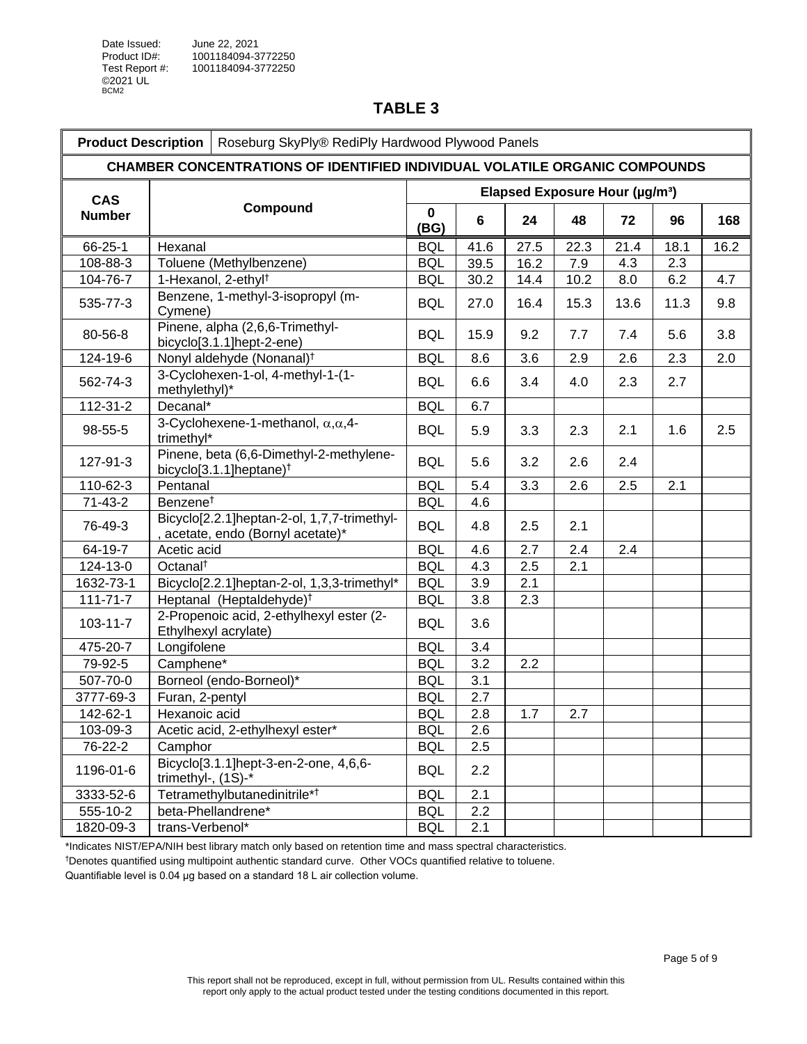<span id="page-4-0"></span>

| <b>Product Description</b><br>Roseburg SkyPly® RediPly Hardwood Plywood Panels |                                                                                   |                                            |      |      |      |      |      |      |
|--------------------------------------------------------------------------------|-----------------------------------------------------------------------------------|--------------------------------------------|------|------|------|------|------|------|
|                                                                                | <b>CHAMBER CONCENTRATIONS OF IDENTIFIED INDIVIDUAL VOLATILE ORGANIC COMPOUNDS</b> |                                            |      |      |      |      |      |      |
| <b>CAS</b>                                                                     |                                                                                   | Elapsed Exposure Hour (µg/m <sup>3</sup> ) |      |      |      |      |      |      |
| <b>Number</b>                                                                  | Compound                                                                          | 0<br>(BG)                                  | 6    | 24   | 48   | 72   | 96   | 168  |
| 66-25-1                                                                        | Hexanal                                                                           | <b>BQL</b>                                 | 41.6 | 27.5 | 22.3 | 21.4 | 18.1 | 16.2 |
| 108-88-3                                                                       | Toluene (Methylbenzene)                                                           | <b>BQL</b>                                 | 39.5 | 16.2 | 7.9  | 4.3  | 2.3  |      |
| 104-76-7                                                                       | 1-Hexanol, 2-ethyl <sup>†</sup>                                                   | <b>BQL</b>                                 | 30.2 | 14.4 | 10.2 | 8.0  | 6.2  | 4.7  |
| 535-77-3                                                                       | Benzene, 1-methyl-3-isopropyl (m-<br>Cymene)                                      | <b>BQL</b>                                 | 27.0 | 16.4 | 15.3 | 13.6 | 11.3 | 9.8  |
| 80-56-8                                                                        | Pinene, alpha (2,6,6-Trimethyl-<br>bicyclo[3.1.1]hept-2-ene)                      | <b>BQL</b>                                 | 15.9 | 9.2  | 7.7  | 7.4  | 5.6  | 3.8  |
| 124-19-6                                                                       | Nonyl aldehyde (Nonanal) <sup>†</sup>                                             | <b>BQL</b>                                 | 8.6  | 3.6  | 2.9  | 2.6  | 2.3  | 2.0  |
| 562-74-3                                                                       | 3-Cyclohexen-1-ol, 4-methyl-1-(1-<br>methylethyl)*                                | <b>BQL</b>                                 | 6.6  | 3.4  | 4.0  | 2.3  | 2.7  |      |
| 112-31-2                                                                       | Decanal*                                                                          | <b>BQL</b>                                 | 6.7  |      |      |      |      |      |
| 98-55-5                                                                        | 3-Cyclohexene-1-methanol, $\alpha, \alpha, 4$ -<br>trimethyl*                     | <b>BQL</b>                                 | 5.9  | 3.3  | 2.3  | 2.1  | 1.6  | 2.5  |
| 127-91-3                                                                       | Pinene, beta (6,6-Dimethyl-2-methylene-<br>bicyclo[3.1.1] heptane) <sup>†</sup>   | <b>BQL</b>                                 | 5.6  | 3.2  | 2.6  | 2.4  |      |      |
| 110-62-3                                                                       | Pentanal                                                                          | <b>BQL</b>                                 | 5.4  | 3.3  | 2.6  | 2.5  | 2.1  |      |
| $71 - 43 - 2$                                                                  | Benzene <sup>t</sup>                                                              | <b>BQL</b>                                 | 4.6  |      |      |      |      |      |
| 76-49-3                                                                        | Bicyclo[2.2.1]heptan-2-ol, 1,7,7-trimethyl-<br>, acetate, endo (Bornyl acetate)*  | <b>BQL</b>                                 | 4.8  | 2.5  | 2.1  |      |      |      |
| 64-19-7                                                                        | Acetic acid                                                                       | <b>BQL</b>                                 | 4.6  | 2.7  | 2.4  | 2.4  |      |      |
| 124-13-0                                                                       | Octanal <sup>t</sup>                                                              | <b>BQL</b>                                 | 4.3  | 2.5  | 2.1  |      |      |      |
| 1632-73-1                                                                      | Bicyclo[2.2.1]heptan-2-ol, 1,3,3-trimethyl*                                       | <b>BQL</b>                                 | 3.9  | 2.1  |      |      |      |      |
| $111 - 71 - 7$                                                                 | Heptanal (Heptaldehyde) <sup>†</sup>                                              | <b>BQL</b>                                 | 3.8  | 2.3  |      |      |      |      |
| 103-11-7                                                                       | 2-Propenoic acid, 2-ethylhexyl ester (2-<br>Ethylhexyl acrylate)                  | <b>BQL</b>                                 | 3.6  |      |      |      |      |      |
| 475-20-7                                                                       | Longifolene                                                                       | <b>BQL</b>                                 | 3.4  |      |      |      |      |      |
| 79-92-5                                                                        | Camphene*                                                                         | <b>BQL</b>                                 | 3.2  | 2.2  |      |      |      |      |
| 507-70-0                                                                       | Borneol (endo-Borneol)*                                                           | <b>BQL</b>                                 | 3.1  |      |      |      |      |      |
| 3777-69-3                                                                      | Furan, 2-pentyl                                                                   | <b>BQL</b>                                 | 2.7  |      |      |      |      |      |
| $142 - 62 - 1$                                                                 | Hexanoic acid                                                                     | <b>BQL</b>                                 | 2.8  | 1.7  | 2.7  |      |      |      |
| 103-09-3                                                                       | Acetic acid, 2-ethylhexyl ester*                                                  | <b>BQL</b>                                 | 2.6  |      |      |      |      |      |
| 76-22-2                                                                        | Camphor                                                                           | <b>BQL</b>                                 | 2.5  |      |      |      |      |      |
| 1196-01-6                                                                      | Bicyclo <sup>[3</sup> .1.1]hept-3-en-2-one, 4,6,6-<br>trimethyl-, (1S)-*          | <b>BQL</b>                                 | 2.2  |      |      |      |      |      |
| 3333-52-6                                                                      | Tetramethylbutanedinitrile* <sup>†</sup>                                          | <b>BQL</b>                                 | 2.1  |      |      |      |      |      |
| 555-10-2                                                                       | beta-Phellandrene*                                                                | <b>BQL</b>                                 | 2.2  |      |      |      |      |      |
| 1820-09-3                                                                      | trans-Verbenol*                                                                   | <b>BQL</b>                                 | 2.1  |      |      |      |      |      |

\*Indicates NIST/EPA/NIH best library match only based on retention time and mass spectral characteristics.

†Denotes quantified using multipoint authentic standard curve. Other VOCs quantified relative to toluene.

Quantifiable level is 0.04 μg based on a standard 18 L air collection volume.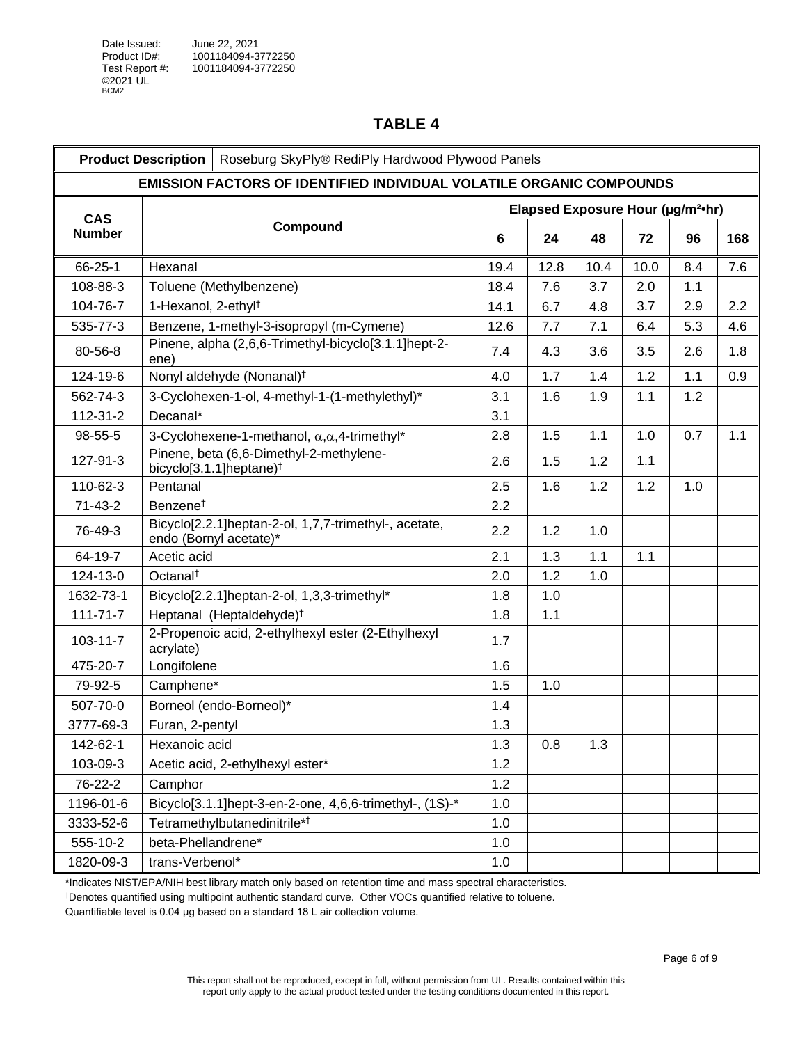<span id="page-5-0"></span>

|                | <b>Product Description</b><br>Roseburg SkyPly® RediPly Hardwood Plywood Panels  |      |                                               |      |      |     |     |
|----------------|---------------------------------------------------------------------------------|------|-----------------------------------------------|------|------|-----|-----|
|                | <b>EMISSION FACTORS OF IDENTIFIED INDIVIDUAL VOLATILE ORGANIC COMPOUNDS</b>     |      |                                               |      |      |     |     |
| <b>CAS</b>     |                                                                                 |      | Elapsed Exposure Hour (µg/m <sup>2</sup> •hr) |      |      |     |     |
| <b>Number</b>  | Compound                                                                        | 6    | 24                                            | 48   | 72   | 96  | 168 |
| 66-25-1        | Hexanal                                                                         | 19.4 | 12.8                                          | 10.4 | 10.0 | 8.4 | 7.6 |
| 108-88-3       | Toluene (Methylbenzene)                                                         | 18.4 | 7.6                                           | 3.7  | 2.0  | 1.1 |     |
| 104-76-7       | 1-Hexanol, 2-ethyl <sup>+</sup>                                                 | 14.1 | 6.7                                           | 4.8  | 3.7  | 2.9 | 2.2 |
| 535-77-3       | Benzene, 1-methyl-3-isopropyl (m-Cymene)                                        | 12.6 | 7.7                                           | 7.1  | 6.4  | 5.3 | 4.6 |
| 80-56-8        | Pinene, alpha (2,6,6-Trimethyl-bicyclo[3.1.1]hept-2-<br>ene)                    | 7.4  | 4.3                                           | 3.6  | 3.5  | 2.6 | 1.8 |
| 124-19-6       | Nonyl aldehyde (Nonanal) <sup>†</sup>                                           | 4.0  | 1.7                                           | 1.4  | 1.2  | 1.1 | 0.9 |
| 562-74-3       | 3-Cyclohexen-1-ol, 4-methyl-1-(1-methylethyl)*                                  | 3.1  | 1.6                                           | 1.9  | 1.1  | 1.2 |     |
| 112-31-2       | Decanal*                                                                        | 3.1  |                                               |      |      |     |     |
| 98-55-5        | 3-Cyclohexene-1-methanol, $\alpha, \alpha, 4$ -trimethyl*                       | 2.8  | 1.5                                           | 1.1  | 1.0  | 0.7 | 1.1 |
| 127-91-3       | Pinene, beta (6,6-Dimethyl-2-methylene-<br>bicyclo[3.1.1]heptane) <sup>†</sup>  | 2.6  | 1.5                                           | 1.2  | 1.1  |     |     |
| 110-62-3       | Pentanal                                                                        | 2.5  | 1.6                                           | 1.2  | 1.2  | 1.0 |     |
| $71 - 43 - 2$  | Benzene <sup>t</sup>                                                            | 2.2  |                                               |      |      |     |     |
| 76-49-3        | Bicyclo[2.2.1]heptan-2-ol, 1,7,7-trimethyl-, acetate,<br>endo (Bornyl acetate)* | 2.2  | 1.2                                           | 1.0  |      |     |     |
| 64-19-7        | Acetic acid                                                                     | 2.1  | 1.3                                           | 1.1  | 1.1  |     |     |
| 124-13-0       | Octanal <sup>t</sup>                                                            | 2.0  | 1.2                                           | 1.0  |      |     |     |
| 1632-73-1      | Bicyclo[2.2.1]heptan-2-ol, 1,3,3-trimethyl*                                     | 1.8  | 1.0                                           |      |      |     |     |
| $111 - 71 - 7$ | Heptanal (Heptaldehyde) <sup>†</sup>                                            | 1.8  | 1.1                                           |      |      |     |     |
| $103 - 11 - 7$ | 2-Propenoic acid, 2-ethylhexyl ester (2-Ethylhexyl<br>acrylate)                 | 1.7  |                                               |      |      |     |     |
| 475-20-7       | Longifolene                                                                     | 1.6  |                                               |      |      |     |     |
| 79-92-5        | Camphene*                                                                       | 1.5  | 1.0                                           |      |      |     |     |
| 507-70-0       | Borneol (endo-Borneol)*                                                         | 1.4  |                                               |      |      |     |     |
| 3777-69-3      | Furan, 2-pentyl                                                                 | 1.3  |                                               |      |      |     |     |
| 142-62-1       | Hexanoic acid                                                                   | 1.3  | 0.8                                           | 1.3  |      |     |     |
| 103-09-3       | Acetic acid, 2-ethylhexyl ester*                                                | 1.2  |                                               |      |      |     |     |
| 76-22-2        | Camphor                                                                         | 1.2  |                                               |      |      |     |     |
| 1196-01-6      | Bicyclo[3.1.1]hept-3-en-2-one, 4,6,6-trimethyl-, (1S)-*                         | 1.0  |                                               |      |      |     |     |
| 3333-52-6      | Tetramethylbutanedinitrile* <sup>†</sup>                                        | 1.0  |                                               |      |      |     |     |
| 555-10-2       | beta-Phellandrene*                                                              | 1.0  |                                               |      |      |     |     |
| 1820-09-3      | trans-Verbenol*                                                                 | 1.0  |                                               |      |      |     |     |

\*Indicates NIST/EPA/NIH best library match only based on retention time and mass spectral characteristics.

†Denotes quantified using multipoint authentic standard curve. Other VOCs quantified relative to toluene.

Quantifiable level is 0.04 μg based on a standard 18 L air collection volume.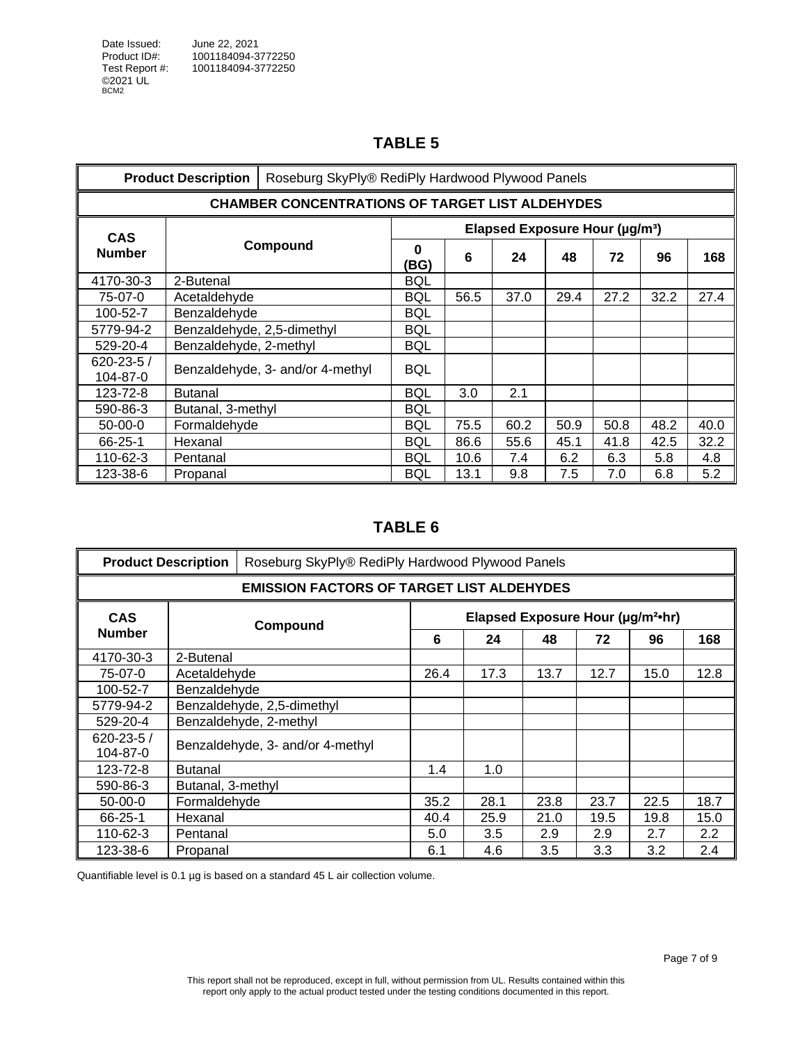<span id="page-6-0"></span>

|                             | <b>Product Description</b> |                                                        | Roseburg SkyPly® RediPly Hardwood Plywood Panels |      |                                            |      |      |      |      |
|-----------------------------|----------------------------|--------------------------------------------------------|--------------------------------------------------|------|--------------------------------------------|------|------|------|------|
|                             |                            | <b>CHAMBER CONCENTRATIONS OF TARGET LIST ALDEHYDES</b> |                                                  |      |                                            |      |      |      |      |
| <b>CAS</b>                  | Compound                   |                                                        |                                                  |      | Elapsed Exposure Hour (µg/m <sup>3</sup> ) |      |      |      |      |
| <b>Number</b>               |                            |                                                        | $\Omega$<br>(BG)                                 | 6    | 24                                         | 48   | 72   | 96   | 168  |
| 4170-30-3                   | 2-Butenal                  |                                                        | <b>BQL</b>                                       |      |                                            |      |      |      |      |
| 75-07-0                     | Acetaldehyde               |                                                        | <b>BQL</b>                                       | 56.5 | 37.0                                       | 29.4 | 27.2 | 32.2 | 27.4 |
| 100-52-7                    | Benzaldehyde               |                                                        | BQL                                              |      |                                            |      |      |      |      |
| 5779-94-2                   | Benzaldehyde, 2,5-dimethyl |                                                        | <b>BQL</b>                                       |      |                                            |      |      |      |      |
| 529-20-4                    | Benzaldehyde, 2-methyl     |                                                        | <b>BQL</b>                                       |      |                                            |      |      |      |      |
| $620 - 23 - 5/$<br>104-87-0 |                            | Benzaldehyde, 3- and/or 4-methyl                       | <b>BQL</b>                                       |      |                                            |      |      |      |      |
| 123-72-8                    | <b>Butanal</b>             |                                                        | <b>BQL</b>                                       | 3.0  | 2.1                                        |      |      |      |      |
| 590-86-3                    | Butanal, 3-methyl          |                                                        | BQL                                              |      |                                            |      |      |      |      |
| $50-00-0$                   | Formaldehyde               |                                                        | BQL                                              | 75.5 | 60.2                                       | 50.9 | 50.8 | 48.2 | 40.0 |
| $66 - 25 - 1$               | Hexanal                    |                                                        | BQL                                              | 86.6 | 55.6                                       | 45.1 | 41.8 | 42.5 | 32.2 |
| 110-62-3                    | Pentanal                   |                                                        | <b>BQL</b>                                       | 10.6 | 7.4                                        | 6.2  | 6.3  | 5.8  | 4.8  |
| 123-38-6                    | Propanal                   |                                                        | <b>BQL</b>                                       | 13.1 | 9.8                                        | 7.5  | 7.0  | 6.8  | 5.2  |

## **TABLE 6**

<span id="page-6-1"></span>

| <b>Product Description</b>                       |                                  | Roseburg SkyPly® RediPly Hardwood Plywood Panels |      |      |      |      |      |      |  |
|--------------------------------------------------|----------------------------------|--------------------------------------------------|------|------|------|------|------|------|--|
| <b>EMISSION FACTORS OF TARGET LIST ALDEHYDES</b> |                                  |                                                  |      |      |      |      |      |      |  |
| <b>CAS</b>                                       | Compound                         | Elapsed Exposure Hour (µg/m <sup>2</sup> ·hr)    |      |      |      |      |      |      |  |
| <b>Number</b>                                    |                                  |                                                  |      | 24   | 48   | 72   | 96   | 168  |  |
| 4170-30-3                                        | 2-Butenal                        |                                                  |      |      |      |      |      |      |  |
| 75-07-0                                          | Acetaldehyde                     |                                                  | 26.4 | 17.3 | 13.7 | 12.7 | 15.0 | 12.8 |  |
| 100-52-7                                         | Benzaldehyde                     |                                                  |      |      |      |      |      |      |  |
| 5779-94-2                                        | Benzaldehyde, 2,5-dimethyl       |                                                  |      |      |      |      |      |      |  |
| 529-20-4                                         | Benzaldehyde, 2-methyl           |                                                  |      |      |      |      |      |      |  |
| $620 - 23 - 5/$<br>104-87-0                      | Benzaldehyde, 3- and/or 4-methyl |                                                  |      |      |      |      |      |      |  |
| 123-72-8                                         | <b>Butanal</b>                   |                                                  | 1.4  | 1.0  |      |      |      |      |  |
| 590-86-3                                         |                                  | Butanal, 3-methyl                                |      |      |      |      |      |      |  |
| $50-00-0$                                        | Formaldehyde                     |                                                  | 35.2 | 28.1 | 23.8 | 23.7 | 22.5 | 18.7 |  |
| $66 - 25 - 1$                                    | Hexanal                          |                                                  | 40.4 | 25.9 | 21.0 | 19.5 | 19.8 | 15.0 |  |
| 110-62-3                                         | Pentanal                         |                                                  | 5.0  | 3.5  | 2.9  | 2.9  | 2.7  | 2.2  |  |
| 123-38-6                                         | Propanal                         |                                                  | 6.1  | 4.6  | 3.5  | 3.3  | 3.2  | 2.4  |  |

Quantifiable level is 0.1 µg is based on a standard 45 L air collection volume.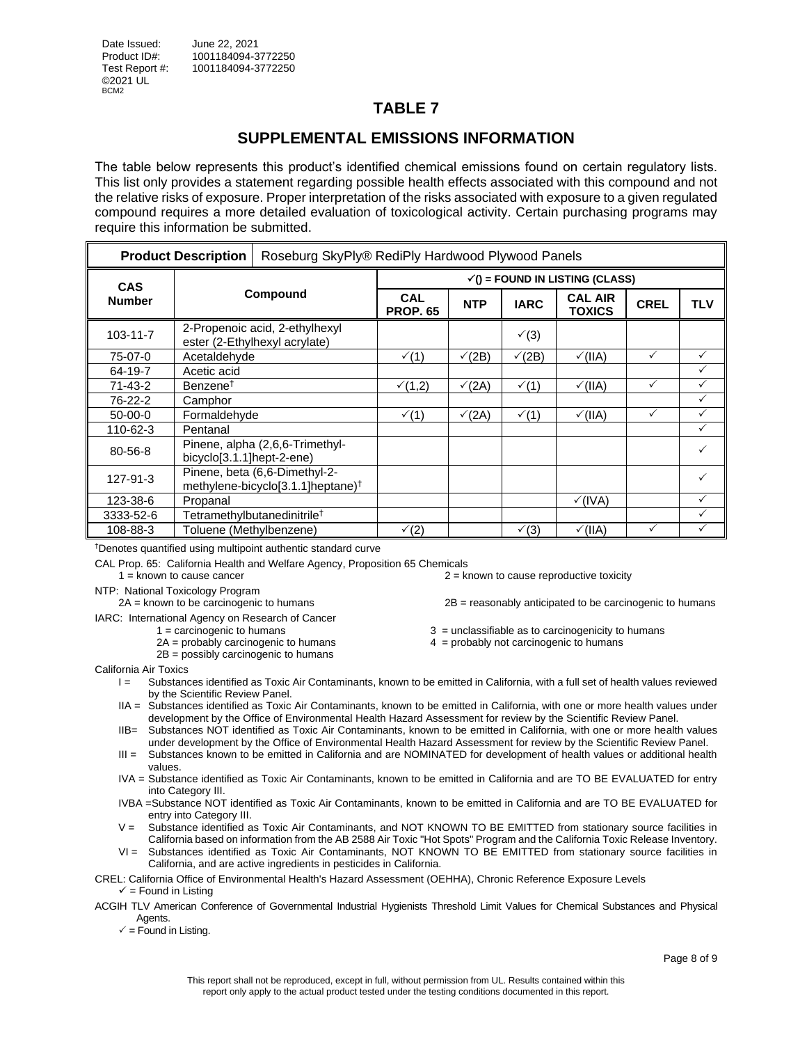## **SUPPLEMENTAL EMISSIONS INFORMATION**

<span id="page-7-0"></span>The table below represents this product's identified chemical emissions found on certain regulatory lists. This list only provides a statement regarding possible health effects associated with this compound and not the relative risks of exposure. Proper interpretation of the risks associated with exposure to a given regulated compound requires a more detailed evaluation of toxicological activity. Certain purchasing programs may require this information be submitted.

| <b>Product Description</b> |                                                                             | Roseburg SkyPly® RediPly Hardwood Plywood Panels                               |                                         |               |                  |                                    |              |              |  |  |
|----------------------------|-----------------------------------------------------------------------------|--------------------------------------------------------------------------------|-----------------------------------------|---------------|------------------|------------------------------------|--------------|--------------|--|--|
| <b>CAS</b>                 | Compound<br>2-Propenoic acid, 2-ethylhexyl<br>ester (2-Ethylhexyl acrylate) |                                                                                | $\checkmark$ = FOUND IN LISTING (CLASS) |               |                  |                                    |              |              |  |  |
| <b>Number</b>              |                                                                             |                                                                                | <b>CAL</b><br><b>PROP. 65</b>           | <b>NTP</b>    | <b>IARC</b>      | <b>CAL AIR</b><br><b>TOXICS</b>    | <b>CREL</b>  | <b>TLV</b>   |  |  |
| $103 - 11 - 7$             |                                                                             |                                                                                |                                         |               | $\checkmark$ (3) |                                    |              |              |  |  |
| 75-07-0                    | Acetaldehyde                                                                |                                                                                | $\checkmark$ (1)                        | $\sqrt{(2B)}$ | $\sqrt{(2B)}$    | $\sqrt{(\ A\})$                    | $\checkmark$ | $\checkmark$ |  |  |
| 64-19-7                    | Acetic acid                                                                 |                                                                                |                                         |               |                  |                                    |              | ✓            |  |  |
| 71-43-2                    | Benzene <sup>†</sup>                                                        |                                                                                | √(1,2)                                  | $\sqrt{(2A)}$ | $\checkmark$ (1) | $\sqrt{(\mathsf{II}(\mathsf{A}))}$ | $\checkmark$ | ✓            |  |  |
| 76-22-2                    | Camphor                                                                     |                                                                                |                                         |               |                  |                                    |              | $\checkmark$ |  |  |
| $50-00-0$                  | Formaldehyde                                                                |                                                                                | $\checkmark$ (1)                        | $\sqrt{(2A)}$ | $\checkmark$ (1) | $\sqrt{(IIA)}$                     | $\checkmark$ | ✓            |  |  |
| 110-62-3                   | Pentanal                                                                    |                                                                                |                                         |               |                  |                                    |              | ✓            |  |  |
| 80-56-8                    | bicyclo[3.1.1]hept-2-ene)                                                   | Pinene, alpha (2,6,6-Trimethyl-                                                |                                         |               |                  |                                    |              | ✓            |  |  |
| 127-91-3                   |                                                                             | Pinene, beta (6,6-Dimethyl-2-<br>methylene-bicyclo[3.1.1]heptane) <sup>†</sup> |                                         |               |                  |                                    |              |              |  |  |
| 123-38-6                   | Propanal                                                                    |                                                                                |                                         |               |                  | $\sqrt{(IVA)}$                     |              | $\checkmark$ |  |  |
| 3333-52-6                  |                                                                             | Tetramethylbutanedinitrile <sup>†</sup>                                        |                                         |               |                  |                                    |              | $\checkmark$ |  |  |
| 108-88-3                   | Toluene (Methylbenzene)                                                     |                                                                                | $\sqrt(2)$                              |               | $\sqrt{3}$       | $\sqrt{(IIA)}$                     | ✓            | ✓            |  |  |

†Denotes quantified using multipoint authentic standard curve

CAL Prop. 65: California Health and Welfare Agency, Proposition 65 Chemicals

1 = known to cause cancer 2 = known to cause reproductive toxicity

NTP: National Toxicology Program

2A = known to be carcinogenic to humans 2B = reasonably anticipated to be carcinogenic to humans

IARC: International Agency on Research of Cancer

- 
- 
- 2B = possibly carcinogenic to humans

 $3$  = unclassifiable as to carcinogenicity to humans

 $2A =$  probably carcinogenic to humans  $4 =$  probably not carcinogenic to humans

California Air Toxics

- I = Substances identified as Toxic Air Contaminants, known to be emitted in California, with a full set of health values reviewed by the Scientific Review Panel.
- IIA = Substances identified as Toxic Air Contaminants, known to be emitted in California, with one or more health values under development by the Office of Environmental Health Hazard Assessment for review by the Scientific Review Panel.
- IIB= Substances NOT identified as Toxic Air Contaminants, known to be emitted in California, with one or more health values under development by the Office of Environmental Health Hazard Assessment for review by the Scientific Review Panel.
- III = Substances known to be emitted in California and are NOMINATED for development of health values or additional health values.
- IVA = Substance identified as Toxic Air Contaminants, known to be emitted in California and are TO BE EVALUATED for entry into Category III.
- IVBA =Substance NOT identified as Toxic Air Contaminants, known to be emitted in California and are TO BE EVALUATED for entry into Category III.
- V = Substance identified as Toxic Air Contaminants, and NOT KNOWN TO BE EMITTED from stationary source facilities in California based on information from the AB 2588 Air Toxic "Hot Spots" Program and the California Toxic Release Inventory.
- VI = Substances identified as Toxic Air Contaminants, NOT KNOWN TO BE EMITTED from stationary source facilities in California, and are active ingredients in pesticides in California.

CREL: California Office of Environmental Health's Hazard Assessment (OEHHA), Chronic Reference Exposure Levels  $\checkmark$  = Found in Listing

ACGIH TLV American Conference of Governmental Industrial Hygienists Threshold Limit Values for Chemical Substances and Physical Agents.

<span id="page-7-1"></span> $\checkmark$  = Found in Listing.